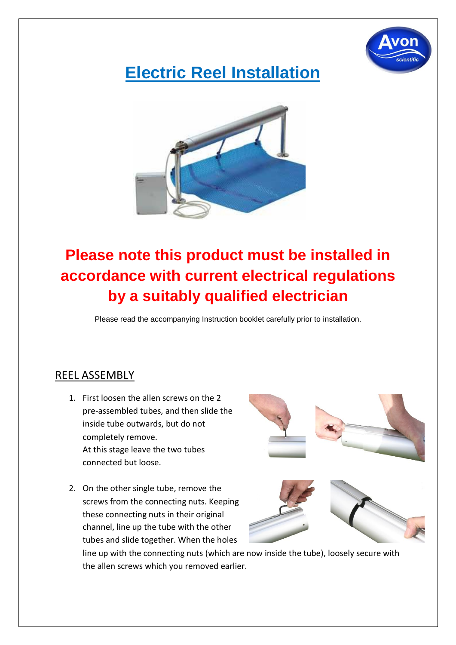

# **Electric Reel Installation**



### **Please note this product must be installed in accordance with current electrical regulations by a suitably qualified electrician**

Please read the accompanying Instruction booklet carefully prior to installation.

#### REEL ASSEMBLY

- 1. First loosen the allen screws on the 2 pre-assembled tubes, and then slide the inside tube outwards, but do not completely remove. At this stage leave the two tubes connected but loose.
- 2. On the other single tube, remove the screws from the connecting nuts. Keeping these connecting nuts in their original channel, line up the tube with the other tubes and slide together. When the holes





line up with the connecting nuts (which are now inside the tube), loosely secure with the allen screws which you removed earlier.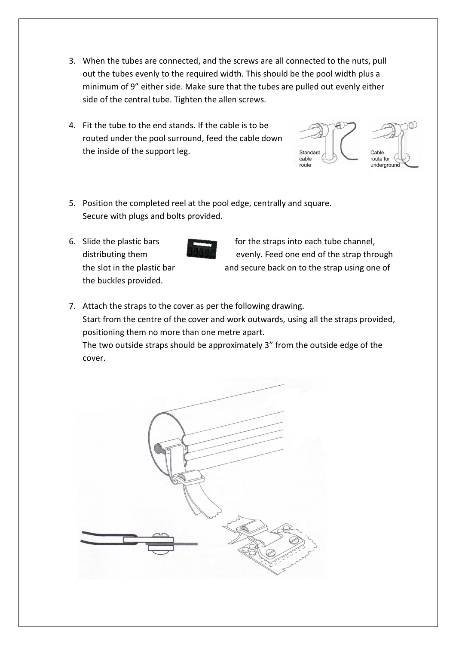- 3. When the tubes are connected, and the screws are all connected to the nuts, pull out the tubes evenly to the required width. This should be the pool width plus a minimum of 9" either side. Make sure that the tubes are pulled out evenly either side of the central tube. Tighten the allen screws.
- 4. Fit the tube to the end stands. If the cable is to be routed under the pool surround, feed the cable down the inside of the support leg.



- 5. Position the completed reel at the pool edge, centrally and square. Secure with plugs and bolts provided.
- the buckles provided.

cover.



6. Slide the plastic bars for the straps into each tube channel, distributing them evenly. Feed one end of the strap through the slot in the plastic bar and secure back on to the strap using one of

7. Attach the straps to the cover as per the following drawing. Start from the centre of the cover and work outwards, using all the straps provided, positioning them no more than one metre apart. The two outside straps should be approximately 3" from the outside edge of the

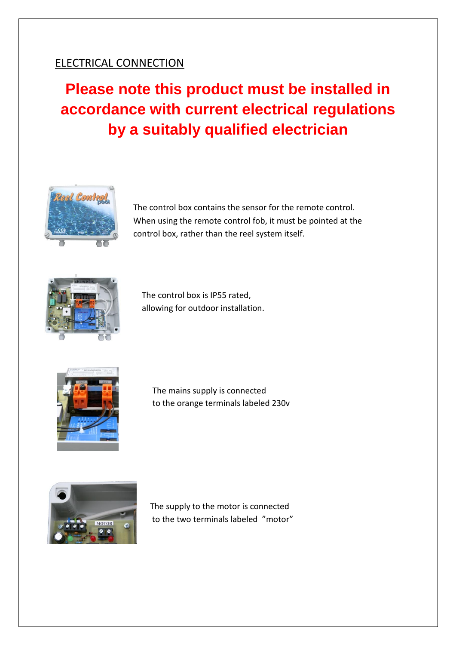#### ELECTRICAL CONNECTION

## **Please note this product must be installed in accordance with current electrical regulations by a suitably qualified electrician**



The control box contains the sensor for the remote control. When using the remote control fob, it must be pointed at the control box, rather than the reel system itself.



 The control box is IP55 rated, allowing for outdoor installation.



 The mains supply is connected to the orange terminals labeled 230v



 The supply to the motor is connected to the two terminals labeled "motor"